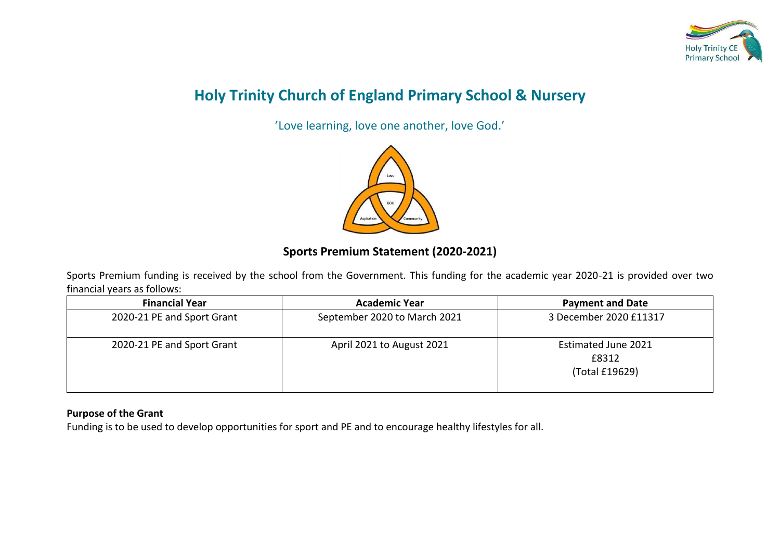

# **Holy Trinity Church of England Primary School & Nursery**

'Love learning, love one another, love God.'



## **Sports Premium Statement (2020-2021)**

Sports Premium funding is received by the school from the Government. This funding for the academic year 2020-21 is provided over two financial years as follows:

| <b>Financial Year</b>      | <b>Academic Year</b>         | <b>Payment and Date</b>                        |
|----------------------------|------------------------------|------------------------------------------------|
| 2020-21 PE and Sport Grant | September 2020 to March 2021 | 3 December 2020 £11317                         |
| 2020-21 PE and Sport Grant | April 2021 to August 2021    | Estimated June 2021<br>£8312<br>(Total £19629) |

#### **Purpose of the Grant**

Funding is to be used to develop opportunities for sport and PE and to encourage healthy lifestyles for all.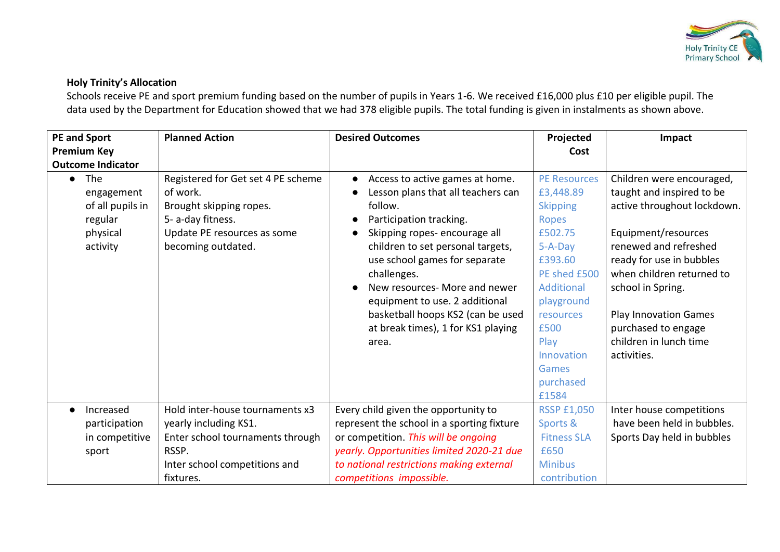

### **Holy Trinity's Allocation**

Schools receive PE and sport premium funding based on the number of pupils in Years 1-6. We received £16,000 plus £10 per eligible pupil. The data used by the Department for Education showed that we had 378 eligible pupils. The total funding is given in instalments as shown above.

| <b>PE and Sport</b><br><b>Premium Key</b><br><b>Outcome Indicator</b>                 | <b>Planned Action</b>                                                                                                                               | <b>Desired Outcomes</b>                                                                                                                                                                                                                                                                                                                                                                              | Projected<br>Cost                                                                                                                                                                                                            | Impact                                                                                                                                                                                                                                                                                                              |
|---------------------------------------------------------------------------------------|-----------------------------------------------------------------------------------------------------------------------------------------------------|------------------------------------------------------------------------------------------------------------------------------------------------------------------------------------------------------------------------------------------------------------------------------------------------------------------------------------------------------------------------------------------------------|------------------------------------------------------------------------------------------------------------------------------------------------------------------------------------------------------------------------------|---------------------------------------------------------------------------------------------------------------------------------------------------------------------------------------------------------------------------------------------------------------------------------------------------------------------|
| The<br>$\bullet$<br>engagement<br>of all pupils in<br>regular<br>physical<br>activity | Registered for Get set 4 PE scheme<br>of work.<br>Brought skipping ropes.<br>5- a-day fitness.<br>Update PE resources as some<br>becoming outdated. | Access to active games at home.<br>$\bullet$<br>Lesson plans that all teachers can<br>follow.<br>Participation tracking.<br>Skipping ropes-encourage all<br>children to set personal targets,<br>use school games for separate<br>challenges.<br>New resources- More and newer<br>equipment to use. 2 additional<br>basketball hoops KS2 (can be used<br>at break times), 1 for KS1 playing<br>area. | <b>PE Resources</b><br>£3,448.89<br><b>Skipping</b><br><b>Ropes</b><br>£502.75<br>$5-A-Day$<br>£393.60<br>PE shed £500<br>Additional<br>playground<br>resources<br>£500<br>Play<br>Innovation<br>Games<br>purchased<br>£1584 | Children were encouraged,<br>taught and inspired to be<br>active throughout lockdown.<br>Equipment/resources<br>renewed and refreshed<br>ready for use in bubbles<br>when children returned to<br>school in Spring.<br><b>Play Innovation Games</b><br>purchased to engage<br>children in lunch time<br>activities. |
| Increased<br>participation<br>in competitive<br>sport                                 | Hold inter-house tournaments x3<br>yearly including KS1.<br>Enter school tournaments through<br>RSSP.<br>Inter school competitions and<br>fixtures. | Every child given the opportunity to<br>represent the school in a sporting fixture<br>or competition. This will be ongoing<br>yearly. Opportunities limited 2020-21 due<br>to national restrictions making external<br>competitions impossible.                                                                                                                                                      | <b>RSSP £1,050</b><br>Sports &<br><b>Fitness SLA</b><br>£650<br><b>Minibus</b><br>contribution                                                                                                                               | Inter house competitions<br>have been held in bubbles.<br>Sports Day held in bubbles                                                                                                                                                                                                                                |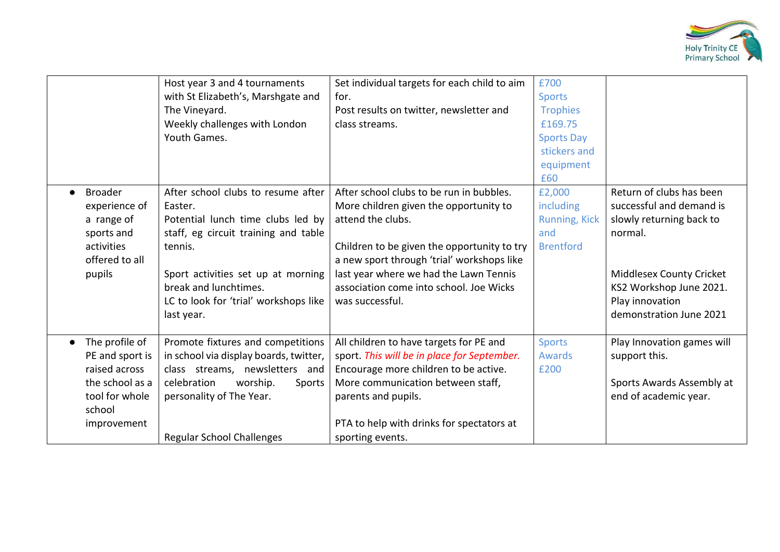

|                                                                                                                               | Host year 3 and 4 tournaments<br>with St Elizabeth's, Marshgate and<br>The Vineyard.<br>Weekly challenges with London<br>Youth Games.                                                                                                                       | Set individual targets for each child to aim<br>for.<br>Post results on twitter, newsletter and<br>class streams.                                                                                                                                                                                            | £700<br><b>Sports</b><br><b>Trophies</b><br>£169.75<br><b>Sports Day</b><br>stickers and<br>equipment<br>£60 |                                                                                                                                                                                                         |
|-------------------------------------------------------------------------------------------------------------------------------|-------------------------------------------------------------------------------------------------------------------------------------------------------------------------------------------------------------------------------------------------------------|--------------------------------------------------------------------------------------------------------------------------------------------------------------------------------------------------------------------------------------------------------------------------------------------------------------|--------------------------------------------------------------------------------------------------------------|---------------------------------------------------------------------------------------------------------------------------------------------------------------------------------------------------------|
| <b>Broader</b><br>$\bullet$<br>experience of<br>a range of<br>sports and<br>activities<br>offered to all<br>pupils            | After school clubs to resume after<br>Easter.<br>Potential lunch time clubs led by<br>staff, eg circuit training and table<br>tennis.<br>Sport activities set up at morning<br>break and lunchtimes.<br>LC to look for 'trial' workshops like<br>last year. | After school clubs to be run in bubbles.<br>More children given the opportunity to<br>attend the clubs.<br>Children to be given the opportunity to try<br>a new sport through 'trial' workshops like<br>last year where we had the Lawn Tennis<br>association come into school. Joe Wicks<br>was successful. | £2,000<br>including<br><b>Running, Kick</b><br>and<br><b>Brentford</b>                                       | Return of clubs has been<br>successful and demand is<br>slowly returning back to<br>normal.<br><b>Middlesex County Cricket</b><br>KS2 Workshop June 2021.<br>Play innovation<br>demonstration June 2021 |
| The profile of<br>$\bullet$<br>PE and sport is<br>raised across<br>the school as a<br>tool for whole<br>school<br>improvement | Promote fixtures and competitions<br>in school via display boards, twitter,<br>class streams, newsletters and<br>celebration<br>worship.<br>Sports<br>personality of The Year.<br><b>Regular School Challenges</b>                                          | All children to have targets for PE and<br>sport. This will be in place for September.<br>Encourage more children to be active.<br>More communication between staff,<br>parents and pupils.<br>PTA to help with drinks for spectators at<br>sporting events.                                                 | <b>Sports</b><br><b>Awards</b><br>£200                                                                       | Play Innovation games will<br>support this.<br>Sports Awards Assembly at<br>end of academic year.                                                                                                       |